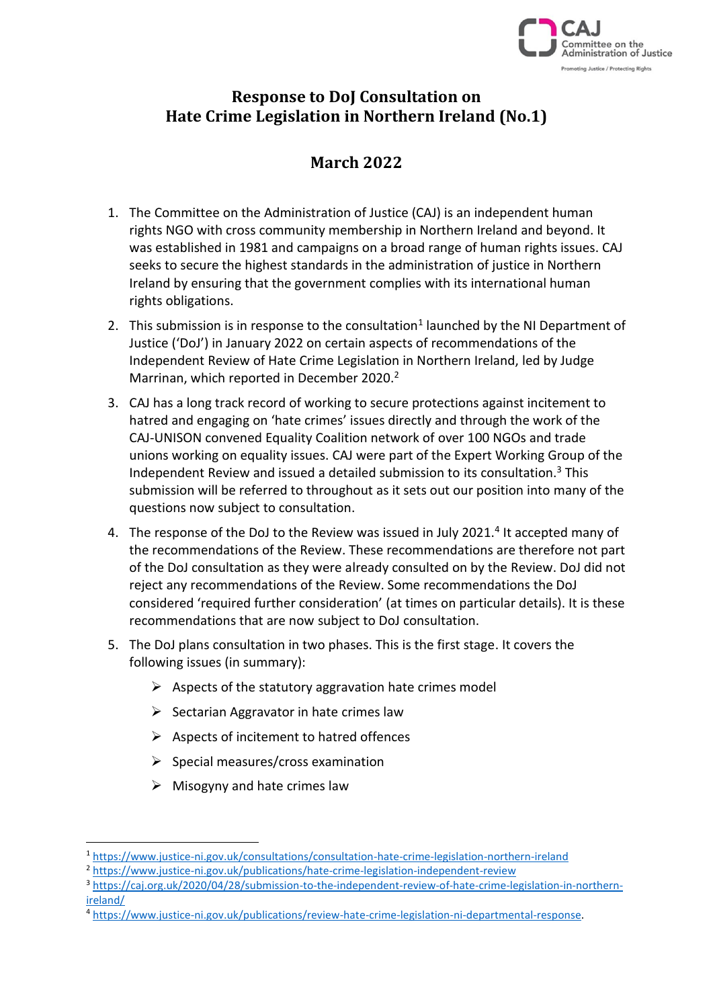

# **Response to DoJ Consultation on Hate Crime Legislation in Northern Ireland (No.1)**

# **March 2022**

- 1. The Committee on the Administration of Justice (CAJ) is an independent human rights NGO with cross community membership in Northern Ireland and beyond. It was established in 1981 and campaigns on a broad range of human rights issues. CAJ seeks to secure the highest standards in the administration of justice in Northern Ireland by ensuring that the government complies with its international human rights obligations.
- 2. This submission is in response to the consultation<sup>1</sup> launched by the NI Department of Justice ('DoJ') in January 2022 on certain aspects of recommendations of the Independent Review of Hate Crime Legislation in Northern Ireland, led by Judge Marrinan, which reported in December 2020.<sup>2</sup>
- 3. CAJ has a long track record of working to secure protections against incitement to hatred and engaging on 'hate crimes' issues directly and through the work of the CAJ-UNISON convened Equality Coalition network of over 100 NGOs and trade unions working on equality issues. CAJ were part of the Expert Working Group of the Independent Review and issued a detailed submission to its consultation.<sup>3</sup> This submission will be referred to throughout as it sets out our position into many of the questions now subject to consultation.
- 4. The response of the DoJ to the Review was issued in July 2021.<sup>4</sup> It accepted many of the recommendations of the Review. These recommendations are therefore not part of the DoJ consultation as they were already consulted on by the Review. DoJ did not reject any recommendations of the Review. Some recommendations the DoJ considered 'required further consideration' (at times on particular details). It is these recommendations that are now subject to DoJ consultation.
- 5. The DoJ plans consultation in two phases. This is the first stage. It covers the following issues (in summary):
	- $\triangleright$  Aspects of the statutory aggravation hate crimes model
	- $\triangleright$  Sectarian Aggravator in hate crimes law
	- $\triangleright$  Aspects of incitement to hatred offences
	- $\triangleright$  Special measures/cross examination
	- $\triangleright$  Misogyny and hate crimes law

<sup>1</sup> <https://www.justice-ni.gov.uk/consultations/consultation-hate-crime-legislation-northern-ireland>

<sup>&</sup>lt;sup>2</sup> <https://www.justice-ni.gov.uk/publications/hate-crime-legislation-independent-review>

<sup>3</sup> [https://caj.org.uk/2020/04/28/submission-to-the-independent-review-of-hate-crime-legislation-in-northern](https://caj.org.uk/2020/04/28/submission-to-the-independent-review-of-hate-crime-legislation-in-northern-ireland/)[ireland/](https://caj.org.uk/2020/04/28/submission-to-the-independent-review-of-hate-crime-legislation-in-northern-ireland/)

<sup>4</sup> [https://www.justice-ni.gov.uk/publications/review-hate-crime-legislation-ni-departmental-response.](https://www.justice-ni.gov.uk/publications/review-hate-crime-legislation-ni-departmental-response)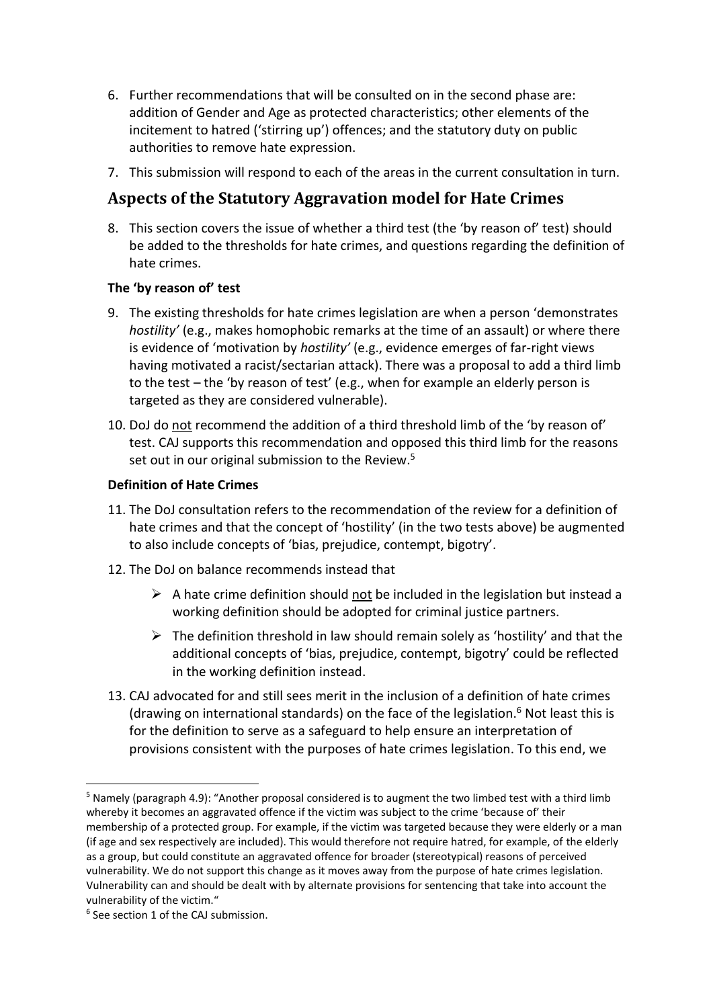- 6. Further recommendations that will be consulted on in the second phase are: addition of Gender and Age as protected characteristics; other elements of the incitement to hatred ('stirring up') offences; and the statutory duty on public authorities to remove hate expression.
- 7. This submission will respond to each of the areas in the current consultation in turn.

# **Aspects of the Statutory Aggravation model for Hate Crimes**

8. This section covers the issue of whether a third test (the 'by reason of' test) should be added to the thresholds for hate crimes, and questions regarding the definition of hate crimes.

### **The 'by reason of' test**

- 9. The existing thresholds for hate crimes legislation are when a person 'demonstrates *hostility'* (e.g., makes homophobic remarks at the time of an assault) or where there is evidence of 'motivation by *hostility'* (e.g., evidence emerges of far-right views having motivated a racist/sectarian attack). There was a proposal to add a third limb to the test – the 'by reason of test' (e.g., when for example an elderly person is targeted as they are considered vulnerable).
- 10. DoJ do not recommend the addition of a third threshold limb of the 'by reason of' test. CAJ supports this recommendation and opposed this third limb for the reasons set out in our original submission to the Review.<sup>5</sup>

### **Definition of Hate Crimes**

- 11. The DoJ consultation refers to the recommendation of the review for a definition of hate crimes and that the concept of 'hostility' (in the two tests above) be augmented to also include concepts of 'bias, prejudice, contempt, bigotry'.
- 12. The DoJ on balance recommends instead that
	- $\triangleright$  A hate crime definition should not be included in the legislation but instead a working definition should be adopted for criminal justice partners.
	- $\triangleright$  The definition threshold in law should remain solely as 'hostility' and that the additional concepts of 'bias, prejudice, contempt, bigotry' could be reflected in the working definition instead.
- 13. CAJ advocated for and still sees merit in the inclusion of a definition of hate crimes (drawing on international standards) on the face of the legislation. $6$  Not least this is for the definition to serve as a safeguard to help ensure an interpretation of provisions consistent with the purposes of hate crimes legislation. To this end, we

<sup>5</sup> Namely (paragraph 4.9): "Another proposal considered is to augment the two limbed test with a third limb whereby it becomes an aggravated offence if the victim was subject to the crime 'because of' their membership of a protected group. For example, if the victim was targeted because they were elderly or a man (if age and sex respectively are included). This would therefore not require hatred, for example, of the elderly as a group, but could constitute an aggravated offence for broader (stereotypical) reasons of perceived vulnerability. We do not support this change as it moves away from the purpose of hate crimes legislation. Vulnerability can and should be dealt with by alternate provisions for sentencing that take into account the vulnerability of the victim."

<sup>6</sup> See section 1 of the CAJ submission.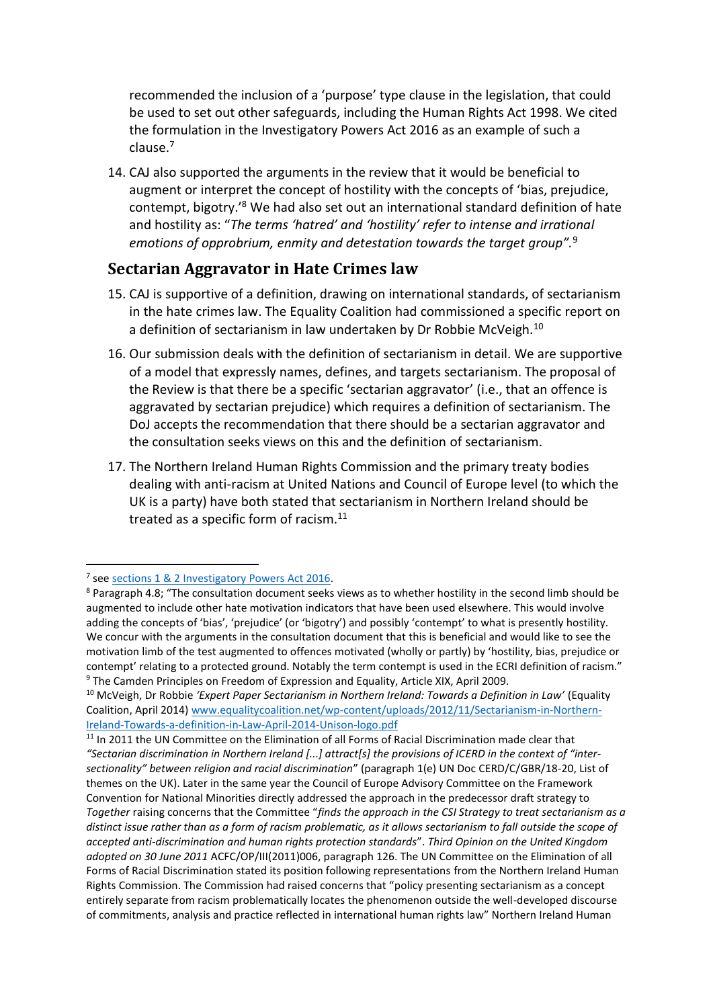recommended the inclusion of a 'purpose' type clause in the legislation, that could be used to set out other safeguards, including the Human Rights Act 1998. We cited the formulation in the Investigatory Powers Act 2016 as an example of such a clause.<sup>7</sup>

14. CAJ also supported the arguments in the review that it would be beneficial to augment or interpret the concept of hostility with the concepts of 'bias, prejudice, contempt, bigotry.'<sup>8</sup> We had also set out an international standard definition of hate and hostility as: "*The terms 'hatred' and 'hostility' refer to intense and irrational emotions of opprobrium, enmity and detestation towards the target group".*<sup>9</sup>

## **Sectarian Aggravator in Hate Crimes law**

- 15. CAJ is supportive of a definition, drawing on international standards, of sectarianism in the hate crimes law. The Equality Coalition had commissioned a specific report on a definition of sectarianism in law undertaken by Dr Robbie McVeigh.<sup>10</sup>
- 16. Our submission deals with the definition of sectarianism in detail. We are supportive of a model that expressly names, defines, and targets sectarianism. The proposal of the Review is that there be a specific 'sectarian aggravator' (i.e., that an offence is aggravated by sectarian prejudice) which requires a definition of sectarianism. The DoJ accepts the recommendation that there should be a sectarian aggravator and the consultation seeks views on this and the definition of sectarianism.
- 17. The Northern Ireland Human Rights Commission and the primary treaty bodies dealing with anti-racism at United Nations and Council of Europe level (to which the UK is a party) have both stated that sectarianism in Northern Ireland should be treated as a specific form of racism. $^{11}$

<sup>&</sup>lt;sup>7</sup> se[e sections 1 & 2 Investigatory Powers Act 2016.](http://www.legislation.gov.uk/ukpga/2016/25/part/1/crossheading/overview-and-general-privacy-duties/enacted)

<sup>&</sup>lt;sup>8</sup> Paragraph 4.8; "The consultation document seeks views as to whether hostility in the second limb should be augmented to include other hate motivation indicators that have been used elsewhere. This would involve adding the concepts of 'bias', 'prejudice' (or 'bigotry') and possibly 'contempt' to what is presently hostility. We concur with the arguments in the consultation document that this is beneficial and would like to see the motivation limb of the test augmented to offences motivated (wholly or partly) by 'hostility, bias, prejudice or contempt' relating to a protected ground. Notably the term contempt is used in the ECRI definition of racism." <sup>9</sup> The Camden Principles on Freedom of Expression and Equality, Article XIX, April 2009.

<sup>10</sup> McVeigh, Dr Robbie *'Expert Paper Sectarianism in Northern Ireland: Towards a Definition in Law'* (Equality Coalition, April 2014) [www.equalitycoalition.net/wp-content/uploads/2012/11/Sectarianism-in-Northern-](http://www.equalitycoalition.net/wp-content/uploads/2012/11/Sectarianism-in-Northern-Ireland-Towards-a-definition-in-Law-April-2014-Unison-logo.pdf)[Ireland-Towards-a-definition-in-Law-April-2014-Unison-logo.pdf](http://www.equalitycoalition.net/wp-content/uploads/2012/11/Sectarianism-in-Northern-Ireland-Towards-a-definition-in-Law-April-2014-Unison-logo.pdf)

<sup>&</sup>lt;sup>11</sup> In 2011 the UN Committee on the Elimination of all Forms of Racial Discrimination made clear that *"Sectarian discrimination in Northern Ireland [...] attract[s] the provisions of ICERD in the context of "intersectionality" between religion and racial discrimination*" (paragraph 1(e) UN Doc CERD/C/GBR/18-20, List of themes on the UK). Later in the same year the Council of Europe Advisory Committee on the Framework Convention for National Minorities directly addressed the approach in the predecessor draft strategy to *Together* raising concerns that the Committee "*finds the approach in the CSI Strategy to treat sectarianism as a distinct issue rather than as a form of racism problematic, as it allows sectarianism to fall outside the scope of accepted anti-discrimination and human rights protection standards*". *Third Opinion on the United Kingdom adopted on 30 June 2011* ACFC/OP/III(2011)006, paragraph 126. The UN Committee on the Elimination of all Forms of Racial Discrimination stated its position following representations from the Northern Ireland Human Rights Commission. The Commission had raised concerns that "policy presenting sectarianism as a concept entirely separate from racism problematically locates the phenomenon outside the well-developed discourse of commitments, analysis and practice reflected in international human rights law" Northern Ireland Human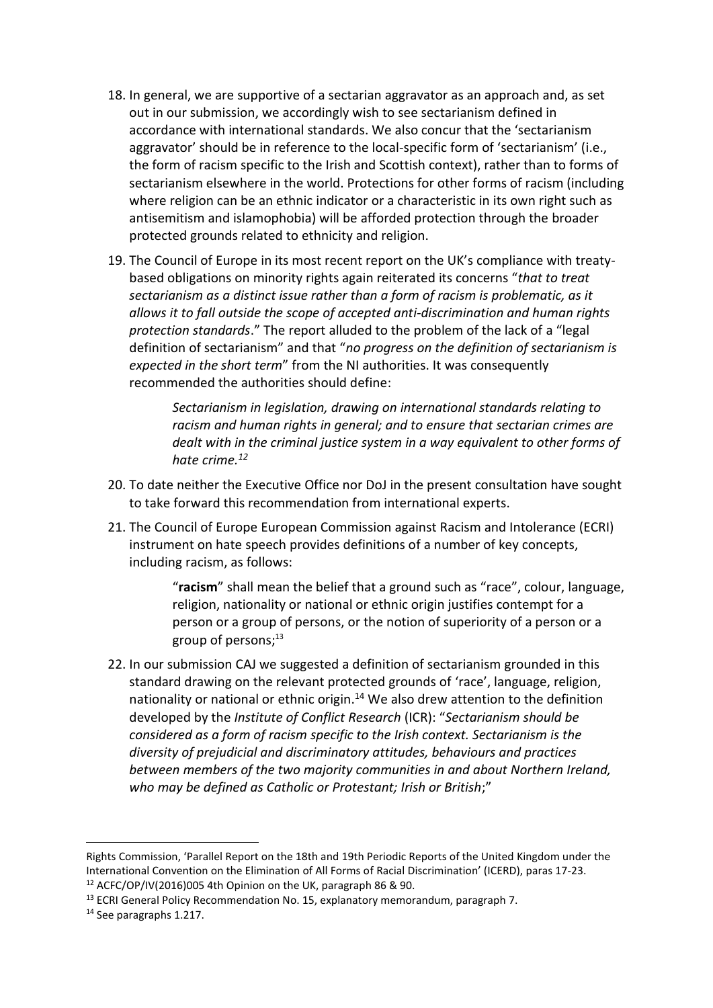- 18. In general, we are supportive of a sectarian aggravator as an approach and, as set out in our submission, we accordingly wish to see sectarianism defined in accordance with international standards. We also concur that the 'sectarianism aggravator' should be in reference to the local-specific form of 'sectarianism' (i.e., the form of racism specific to the Irish and Scottish context), rather than to forms of sectarianism elsewhere in the world. Protections for other forms of racism (including where religion can be an ethnic indicator or a characteristic in its own right such as antisemitism and islamophobia) will be afforded protection through the broader protected grounds related to ethnicity and religion.
- 19. The Council of Europe in its most recent report on the UK's compliance with treatybased obligations on minority rights again reiterated its concerns "*that to treat sectarianism as a distinct issue rather than a form of racism is problematic, as it allows it to fall outside the scope of accepted anti-discrimination and human rights protection standards*." The report alluded to the problem of the lack of a "legal definition of sectarianism" and that "*no progress on the definition of sectarianism is expected in the short term*" from the NI authorities. It was consequently recommended the authorities should define:

*Sectarianism in legislation, drawing on international standards relating to racism and human rights in general; and to ensure that sectarian crimes are dealt with in the criminal justice system in a way equivalent to other forms of hate crime.<sup>12</sup>*

- 20. To date neither the Executive Office nor DoJ in the present consultation have sought to take forward this recommendation from international experts.
- 21. The Council of Europe European Commission against Racism and Intolerance (ECRI) instrument on hate speech provides definitions of a number of key concepts, including racism, as follows:

"**racism**" shall mean the belief that a ground such as "race", colour, language, religion, nationality or national or ethnic origin justifies contempt for a person or a group of persons, or the notion of superiority of a person or a group of persons; $^{13}$ 

22. In our submission CAJ we suggested a definition of sectarianism grounded in this standard drawing on the relevant protected grounds of 'race', language, religion, nationality or national or ethnic origin.<sup>14</sup> We also drew attention to the definition developed by the *Institute of Conflict Research* (ICR): "*Sectarianism should be considered as a form of racism specific to the Irish context. Sectarianism is the diversity of prejudicial and discriminatory attitudes, behaviours and practices between members of the two majority communities in and about Northern Ireland, who may be defined as Catholic or Protestant; Irish or British*;"

Rights Commission, 'Parallel Report on the 18th and 19th Periodic Reports of the United Kingdom under the International Convention on the Elimination of All Forms of Racial Discrimination' (ICERD), paras 17-23. <sup>12</sup> ACFC/OP/IV(2016)005 4th Opinion on the UK, paragraph 86 & 90.

<sup>&</sup>lt;sup>13</sup> ECRI General Policy Recommendation No. 15, explanatory memorandum, paragraph 7.

<sup>&</sup>lt;sup>14</sup> See paragraphs 1.217.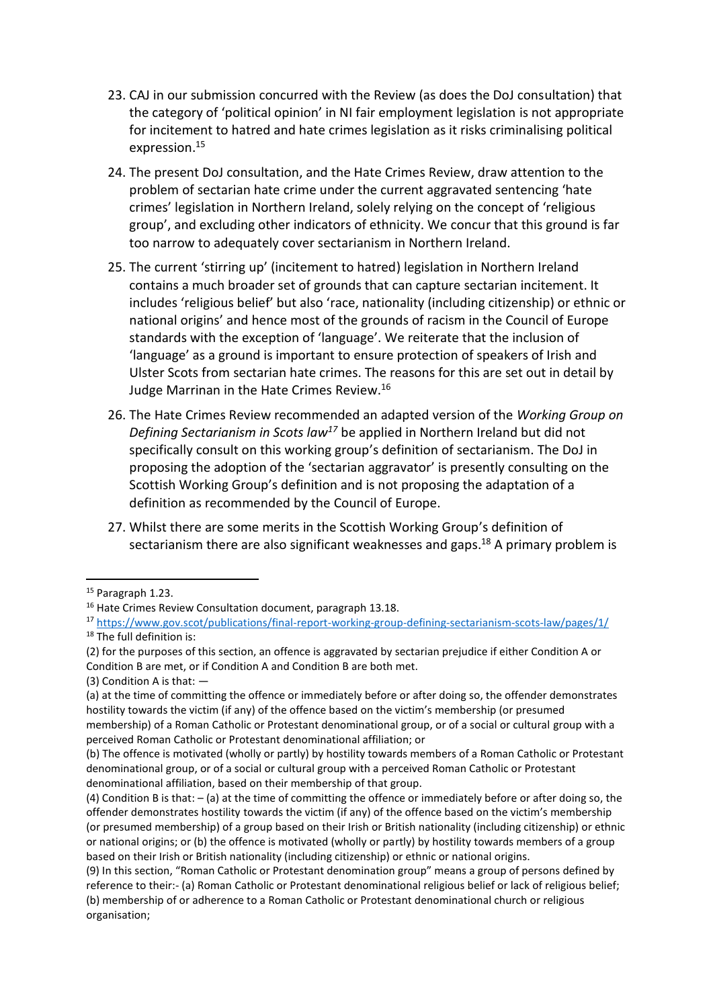- 23. CAJ in our submission concurred with the Review (as does the DoJ consultation) that the category of 'political opinion' in NI fair employment legislation is not appropriate for incitement to hatred and hate crimes legislation as it risks criminalising political expression.<sup>15</sup>
- 24. The present DoJ consultation, and the Hate Crimes Review, draw attention to the problem of sectarian hate crime under the current aggravated sentencing 'hate crimes' legislation in Northern Ireland, solely relying on the concept of 'religious group', and excluding other indicators of ethnicity. We concur that this ground is far too narrow to adequately cover sectarianism in Northern Ireland.
- 25. The current 'stirring up' (incitement to hatred) legislation in Northern Ireland contains a much broader set of grounds that can capture sectarian incitement. It includes 'religious belief' but also 'race, nationality (including citizenship) or ethnic or national origins' and hence most of the grounds of racism in the Council of Europe standards with the exception of 'language'. We reiterate that the inclusion of 'language' as a ground is important to ensure protection of speakers of Irish and Ulster Scots from sectarian hate crimes. The reasons for this are set out in detail by Judge Marrinan in the Hate Crimes Review.<sup>16</sup>
- 26. The Hate Crimes Review recommended an adapted version of the *Working Group on Defining Sectarianism in Scots law<sup>17</sup>* be applied in Northern Ireland but did not specifically consult on this working group's definition of sectarianism. The DoJ in proposing the adoption of the 'sectarian aggravator' is presently consulting on the Scottish Working Group's definition and is not proposing the adaptation of a definition as recommended by the Council of Europe.
- 27. Whilst there are some merits in the Scottish Working Group's definition of sectarianism there are also significant weaknesses and gaps.<sup>18</sup> A primary problem is

(3) Condition A is that: —

<sup>&</sup>lt;sup>15</sup> Paragraph 1.23.

<sup>&</sup>lt;sup>16</sup> Hate Crimes Review Consultation document, paragraph 13.18.

<sup>17</sup> <https://www.gov.scot/publications/final-report-working-group-defining-sectarianism-scots-law/pages/1/> <sup>18</sup> The full definition is:

<sup>(2)</sup> for the purposes of this section, an offence is aggravated by sectarian prejudice if either Condition A or Condition B are met, or if Condition A and Condition B are both met.

<sup>(</sup>a) at the time of committing the offence or immediately before or after doing so, the offender demonstrates hostility towards the victim (if any) of the offence based on the victim's membership (or presumed

membership) of a Roman Catholic or Protestant denominational group, or of a social or cultural group with a perceived Roman Catholic or Protestant denominational affiliation; or

<sup>(</sup>b) The offence is motivated (wholly or partly) by hostility towards members of a Roman Catholic or Protestant denominational group, or of a social or cultural group with a perceived Roman Catholic or Protestant denominational affiliation, based on their membership of that group.

<sup>(4)</sup> Condition B is that: – (a) at the time of committing the offence or immediately before or after doing so, the offender demonstrates hostility towards the victim (if any) of the offence based on the victim's membership (or presumed membership) of a group based on their Irish or British nationality (including citizenship) or ethnic or national origins; or (b) the offence is motivated (wholly or partly) by hostility towards members of a group based on their Irish or British nationality (including citizenship) or ethnic or national origins.

<sup>(9)</sup> In this section, "Roman Catholic or Protestant denomination group" means a group of persons defined by reference to their:- (a) Roman Catholic or Protestant denominational religious belief or lack of religious belief; (b) membership of or adherence to a Roman Catholic or Protestant denominational church or religious organisation;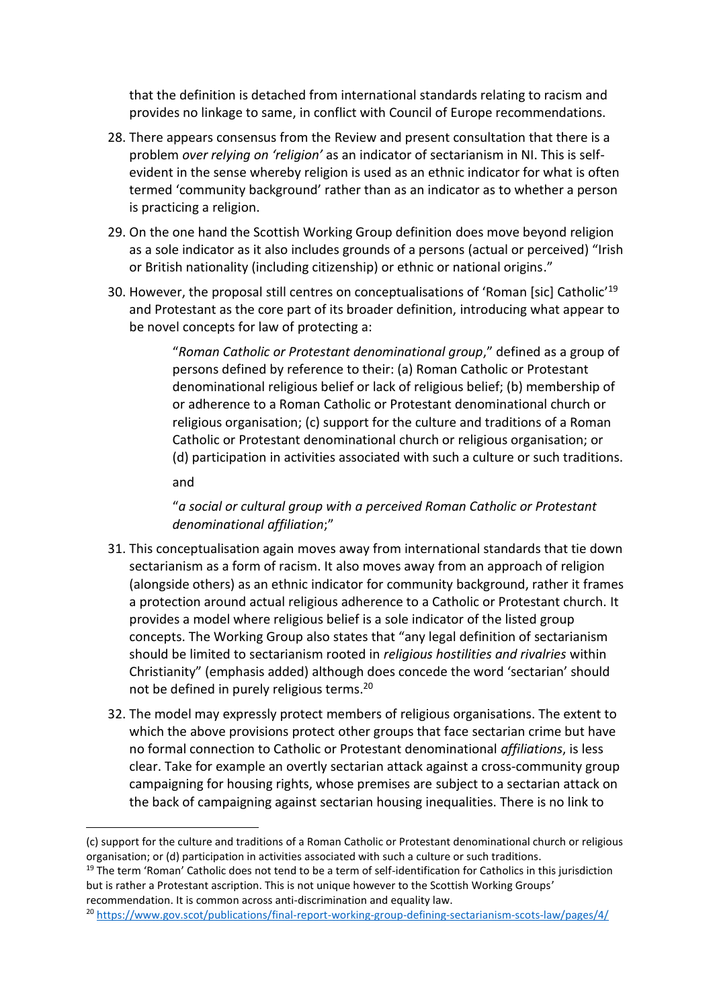that the definition is detached from international standards relating to racism and provides no linkage to same, in conflict with Council of Europe recommendations.

- 28. There appears consensus from the Review and present consultation that there is a problem *over relying on 'religion'* as an indicator of sectarianism in NI. This is selfevident in the sense whereby religion is used as an ethnic indicator for what is often termed 'community background' rather than as an indicator as to whether a person is practicing a religion.
- 29. On the one hand the Scottish Working Group definition does move beyond religion as a sole indicator as it also includes grounds of a persons (actual or perceived) "Irish or British nationality (including citizenship) or ethnic or national origins."
- 30. However, the proposal still centres on conceptualisations of 'Roman [sic] Catholic'<sup>19</sup> and Protestant as the core part of its broader definition, introducing what appear to be novel concepts for law of protecting a:

"*Roman Catholic or Protestant denominational group*," defined as a group of persons defined by reference to their: (a) Roman Catholic or Protestant denominational religious belief or lack of religious belief; (b) membership of or adherence to a Roman Catholic or Protestant denominational church or religious organisation; (c) support for the culture and traditions of a Roman Catholic or Protestant denominational church or religious organisation; or (d) participation in activities associated with such a culture or such traditions.

and

"*a social or cultural group with a perceived Roman Catholic or Protestant denominational affiliation*;"

- 31. This conceptualisation again moves away from international standards that tie down sectarianism as a form of racism. It also moves away from an approach of religion (alongside others) as an ethnic indicator for community background, rather it frames a protection around actual religious adherence to a Catholic or Protestant church. It provides a model where religious belief is a sole indicator of the listed group concepts. The Working Group also states that "any legal definition of sectarianism should be limited to sectarianism rooted in *religious hostilities and rivalries* within Christianity" (emphasis added) although does concede the word 'sectarian' should not be defined in purely religious terms.<sup>20</sup>
- 32. The model may expressly protect members of religious organisations. The extent to which the above provisions protect other groups that face sectarian crime but have no formal connection to Catholic or Protestant denominational *affiliations*, is less clear. Take for example an overtly sectarian attack against a cross-community group campaigning for housing rights, whose premises are subject to a sectarian attack on the back of campaigning against sectarian housing inequalities. There is no link to

<sup>(</sup>c) support for the culture and traditions of a Roman Catholic or Protestant denominational church or religious organisation; or (d) participation in activities associated with such a culture or such traditions.

<sup>&</sup>lt;sup>19</sup> The term 'Roman' Catholic does not tend to be a term of self-identification for Catholics in this jurisdiction but is rather a Protestant ascription. This is not unique however to the Scottish Working Groups' recommendation. It is common across anti-discrimination and equality law.

<sup>20</sup> <https://www.gov.scot/publications/final-report-working-group-defining-sectarianism-scots-law/pages/4/>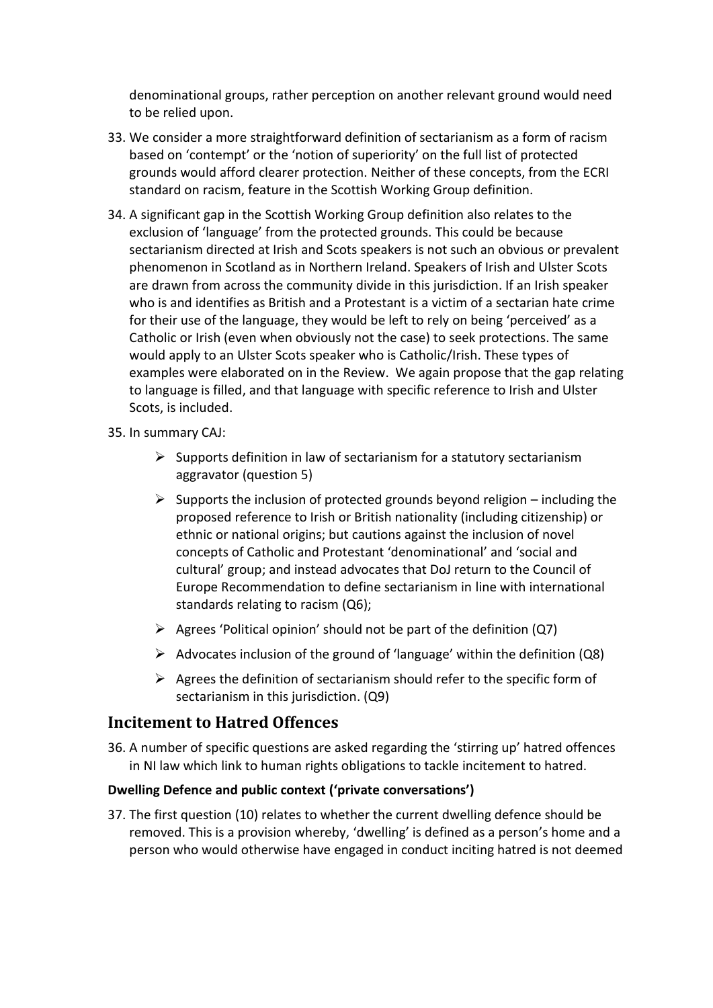denominational groups, rather perception on another relevant ground would need to be relied upon.

- 33. We consider a more straightforward definition of sectarianism as a form of racism based on 'contempt' or the 'notion of superiority' on the full list of protected grounds would afford clearer protection. Neither of these concepts, from the ECRI standard on racism, feature in the Scottish Working Group definition.
- 34. A significant gap in the Scottish Working Group definition also relates to the exclusion of 'language' from the protected grounds. This could be because sectarianism directed at Irish and Scots speakers is not such an obvious or prevalent phenomenon in Scotland as in Northern Ireland. Speakers of Irish and Ulster Scots are drawn from across the community divide in this jurisdiction. If an Irish speaker who is and identifies as British and a Protestant is a victim of a sectarian hate crime for their use of the language, they would be left to rely on being 'perceived' as a Catholic or Irish (even when obviously not the case) to seek protections. The same would apply to an Ulster Scots speaker who is Catholic/Irish. These types of examples were elaborated on in the Review. We again propose that the gap relating to language is filled, and that language with specific reference to Irish and Ulster Scots, is included.

35. In summary CAJ:

- $\triangleright$  Supports definition in law of sectarianism for a statutory sectarianism aggravator (question 5)
- $\triangleright$  Supports the inclusion of protected grounds beyond religion including the proposed reference to Irish or British nationality (including citizenship) or ethnic or national origins; but cautions against the inclusion of novel concepts of Catholic and Protestant 'denominational' and 'social and cultural' group; and instead advocates that DoJ return to the Council of Europe Recommendation to define sectarianism in line with international standards relating to racism (Q6);
- $\triangleright$  Agrees 'Political opinion' should not be part of the definition (Q7)
- $\triangleright$  Advocates inclusion of the ground of 'language' within the definition (Q8)
- $\triangleright$  Agrees the definition of sectarianism should refer to the specific form of sectarianism in this jurisdiction. (Q9)

## **Incitement to Hatred Offences**

36. A number of specific questions are asked regarding the 'stirring up' hatred offences in NI law which link to human rights obligations to tackle incitement to hatred.

## **Dwelling Defence and public context ('private conversations')**

37. The first question (10) relates to whether the current dwelling defence should be removed. This is a provision whereby, 'dwelling' is defined as a person's home and a person who would otherwise have engaged in conduct inciting hatred is not deemed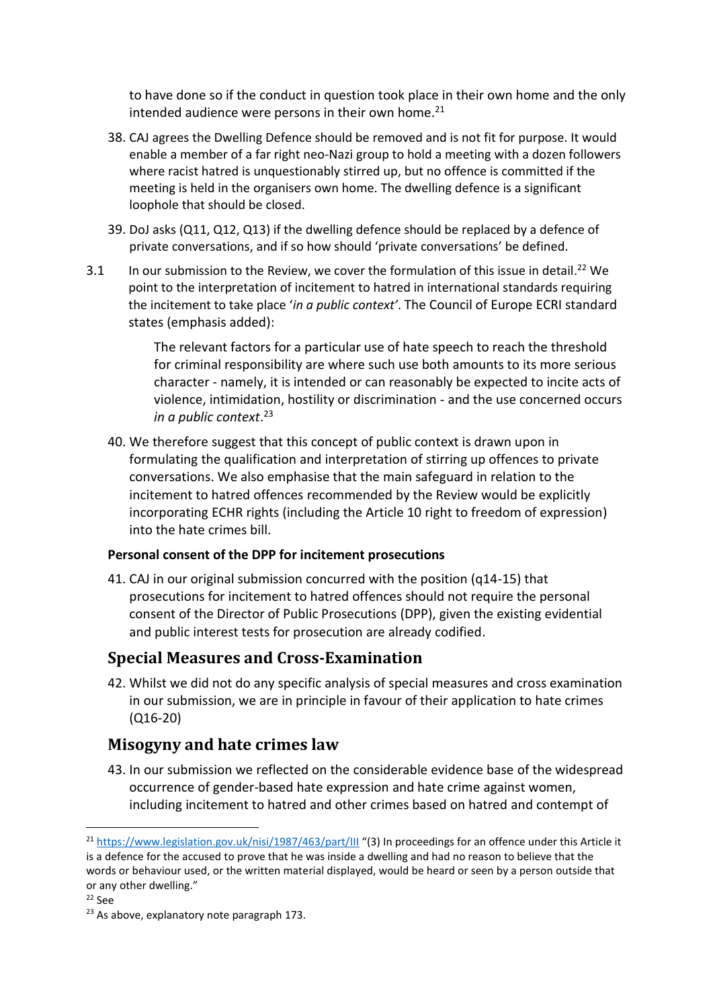to have done so if the conduct in question took place in their own home and the only intended audience were persons in their own home. $21$ 

- 38. CAJ agrees the Dwelling Defence should be removed and is not fit for purpose. It would enable a member of a far right neo-Nazi group to hold a meeting with a dozen followers where racist hatred is unquestionably stirred up, but no offence is committed if the meeting is held in the organisers own home. The dwelling defence is a significant loophole that should be closed.
- 39. DoJ asks (Q11, Q12, Q13) if the dwelling defence should be replaced by a defence of private conversations, and if so how should 'private conversations' be defined.
- 3.1 In our submission to the Review, we cover the formulation of this issue in detail.<sup>22</sup> We point to the interpretation of incitement to hatred in international standards requiring the incitement to take place '*in a public context'*. The Council of Europe ECRI standard states (emphasis added):

The relevant factors for a particular use of hate speech to reach the threshold for criminal responsibility are where such use both amounts to its more serious character - namely, it is intended or can reasonably be expected to incite acts of violence, intimidation, hostility or discrimination - and the use concerned occurs *in a public context*. 23

40. We therefore suggest that this concept of public context is drawn upon in formulating the qualification and interpretation of stirring up offences to private conversations. We also emphasise that the main safeguard in relation to the incitement to hatred offences recommended by the Review would be explicitly incorporating ECHR rights (including the Article 10 right to freedom of expression) into the hate crimes bill.

### **Personal consent of the DPP for incitement prosecutions**

41. CAJ in our original submission concurred with the position (q14-15) that prosecutions for incitement to hatred offences should not require the personal consent of the Director of Public Prosecutions (DPP), given the existing evidential and public interest tests for prosecution are already codified.

## **Special Measures and Cross-Examination**

42. Whilst we did not do any specific analysis of special measures and cross examination in our submission, we are in principle in favour of their application to hate crimes (Q16-20)

## **Misogyny and hate crimes law**

43. In our submission we reflected on the considerable evidence base of the widespread occurrence of gender-based hate expression and hate crime against women, including incitement to hatred and other crimes based on hatred and contempt of

<sup>&</sup>lt;sup>21</sup> <https://www.legislation.gov.uk/nisi/1987/463/part/III> "(3) In proceedings for an offence under this Article it is a defence for the accused to prove that he was inside a dwelling and had no reason to believe that the words or behaviour used, or the written material displayed, would be heard or seen by a person outside that or any other dwelling."

<sup>22</sup> See

<sup>&</sup>lt;sup>23</sup> As above, explanatory note paragraph 173.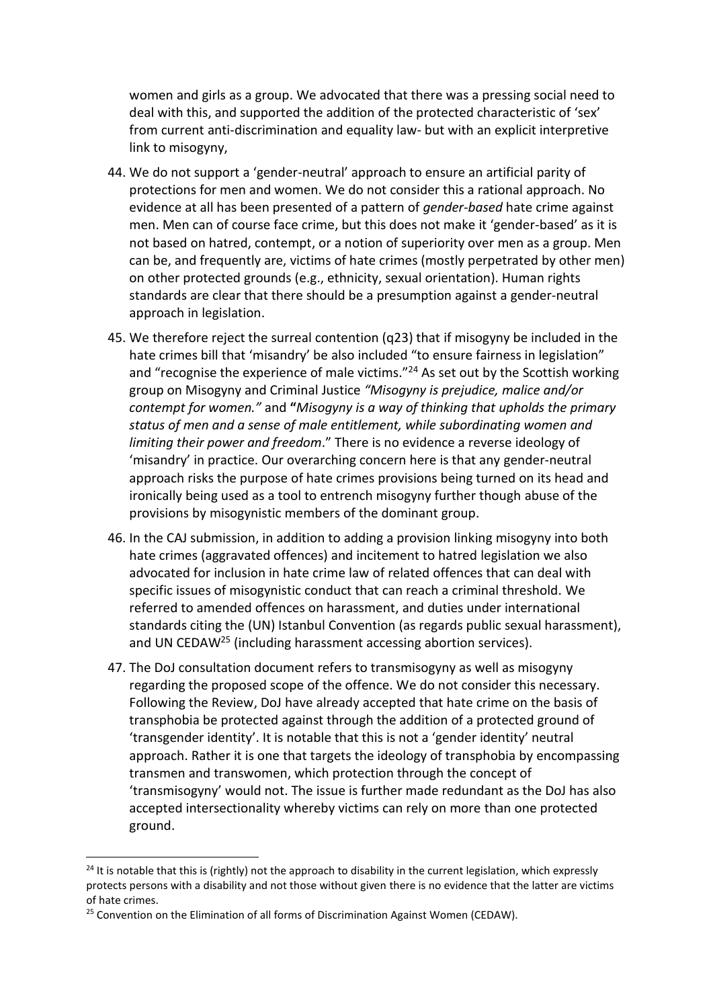women and girls as a group. We advocated that there was a pressing social need to deal with this, and supported the addition of the protected characteristic of 'sex' from current anti-discrimination and equality law- but with an explicit interpretive link to misogyny,

- 44. We do not support a 'gender-neutral' approach to ensure an artificial parity of protections for men and women. We do not consider this a rational approach. No evidence at all has been presented of a pattern of *gender-based* hate crime against men. Men can of course face crime, but this does not make it 'gender-based' as it is not based on hatred, contempt, or a notion of superiority over men as a group. Men can be, and frequently are, victims of hate crimes (mostly perpetrated by other men) on other protected grounds (e.g., ethnicity, sexual orientation). Human rights standards are clear that there should be a presumption against a gender-neutral approach in legislation.
- 45. We therefore reject the surreal contention (q23) that if misogyny be included in the hate crimes bill that 'misandry' be also included "to ensure fairness in legislation" and "recognise the experience of male victims."<sup>24</sup> As set out by the Scottish working group on Misogyny and Criminal Justice *"Misogyny is prejudice, malice and/or contempt for women."* and **"***Misogyny is a way of thinking that upholds the primary status of men and a sense of male entitlement, while subordinating women and limiting their power and freedom*." There is no evidence a reverse ideology of 'misandry' in practice. Our overarching concern here is that any gender-neutral approach risks the purpose of hate crimes provisions being turned on its head and ironically being used as a tool to entrench misogyny further though abuse of the provisions by misogynistic members of the dominant group.
- 46. In the CAJ submission, in addition to adding a provision linking misogyny into both hate crimes (aggravated offences) and incitement to hatred legislation we also advocated for inclusion in hate crime law of related offences that can deal with specific issues of misogynistic conduct that can reach a criminal threshold. We referred to amended offences on harassment, and duties under international standards citing the (UN) Istanbul Convention (as regards public sexual harassment), and UN CEDAW<sup>25</sup> (including harassment accessing abortion services).
- 47. The DoJ consultation document refers to transmisogyny as well as misogyny regarding the proposed scope of the offence. We do not consider this necessary. Following the Review, DoJ have already accepted that hate crime on the basis of transphobia be protected against through the addition of a protected ground of 'transgender identity'. It is notable that this is not a 'gender identity' neutral approach. Rather it is one that targets the ideology of transphobia by encompassing transmen and transwomen, which protection through the concept of 'transmisogyny' would not. The issue is further made redundant as the DoJ has also accepted intersectionality whereby victims can rely on more than one protected ground.

<sup>&</sup>lt;sup>24</sup> It is notable that this is (rightly) not the approach to disability in the current legislation, which expressly protects persons with a disability and not those without given there is no evidence that the latter are victims of hate crimes.

<sup>&</sup>lt;sup>25</sup> Convention on the Elimination of all forms of Discrimination Against Women (CEDAW).